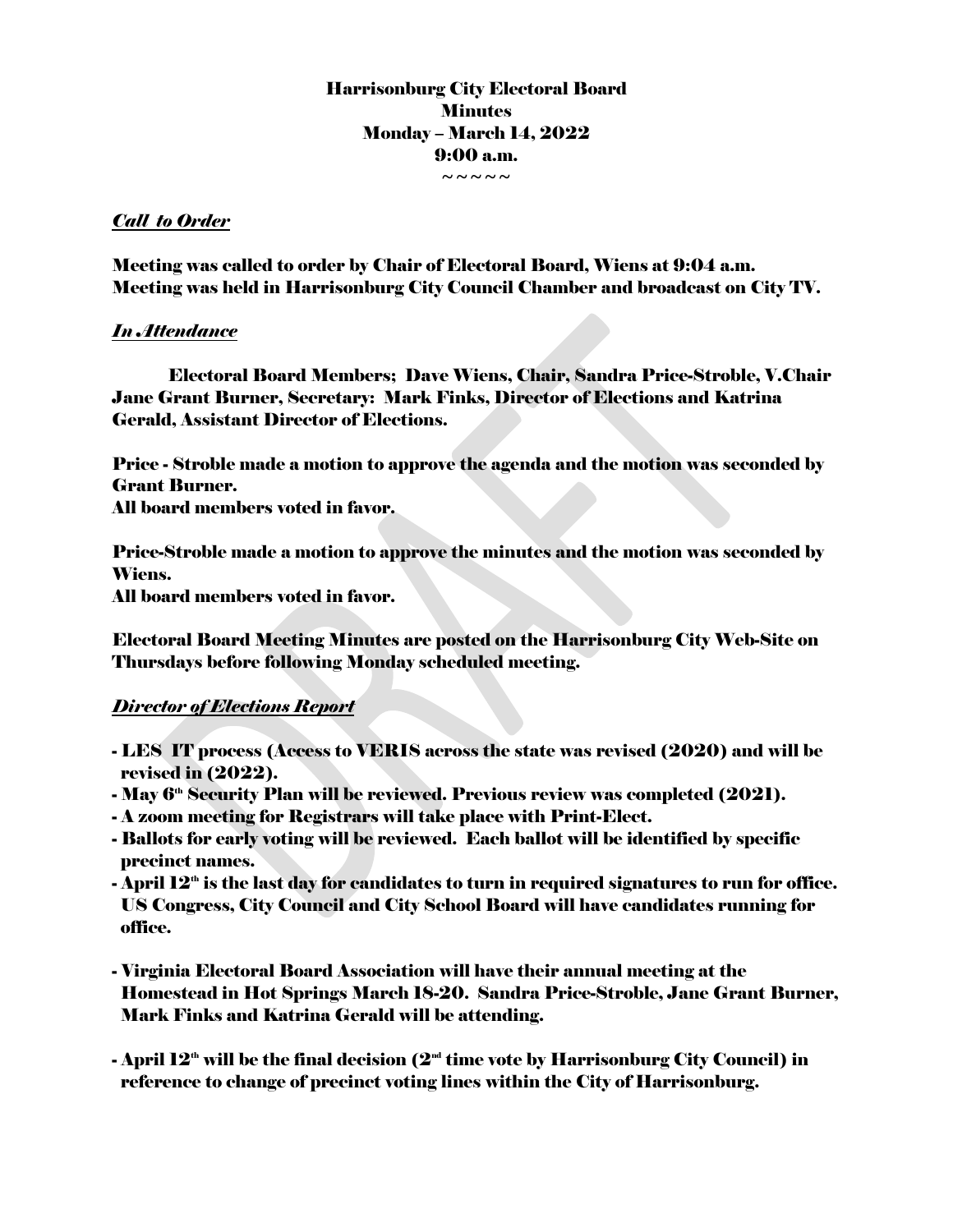# Harrisonburg City Electoral Board **Minutes** Monday – March 14, 2022 9:00 a.m.

 $\sim$   $\sim$   $\sim$   $\sim$ 

## *Call to Order*

Meeting was called to order by Chair of Electoral Board, Wiens at 9:04 a.m. Meeting was held in Harrisonburg City Council Chamber and broadcast on City TV.

## *In Attendance*

Electoral Board Members; Dave Wiens, Chair, Sandra Price-Stroble, V.Chair Jane Grant Burner, Secretary: Mark Finks, Director of Elections and Katrina Gerald, Assistant Director of Elections.

Price - Stroble made a motion to approve the agenda and the motion was seconded by Grant Burner.

All board members voted in favor.

Price-Stroble made a motion to approve the minutes and the motion was seconded by Wiens.

All board members voted in favor.

Electoral Board Meeting Minutes are posted on the Harrisonburg City Web-Site on Thursdays before following Monday scheduled meeting.

# *Director of Elections Report*

- LES IT process (Access to VERIS across the state was revised (2020) and will be revised in (2022).
- May 6<sup>th</sup> Security Plan will be reviewed. Previous review was completed (2021).
- A zoom meeting for Registrars will take place with Print-Elect.
- Ballots for early voting will be reviewed. Each ballot will be identified by specific precinct names.
- April  $\bf 12^{\scriptscriptstyle th}$  is the last day for candidates to turn in required signatures to run for office. US Congress, City Council and City School Board will have candidates running for office.
- Virginia Electoral Board Association will have their annual meeting at the Homestead in Hot Springs March 18-20. Sandra Price-Stroble, Jane Grant Burner, Mark Finks and Katrina Gerald will be attending.
- April  $12^{\text{\tiny th}}$  will be the final decision ( $2^{\text{\tiny nd}}$  time vote by Harrisonburg City Council) in reference to change of precinct voting lines within the City of Harrisonburg.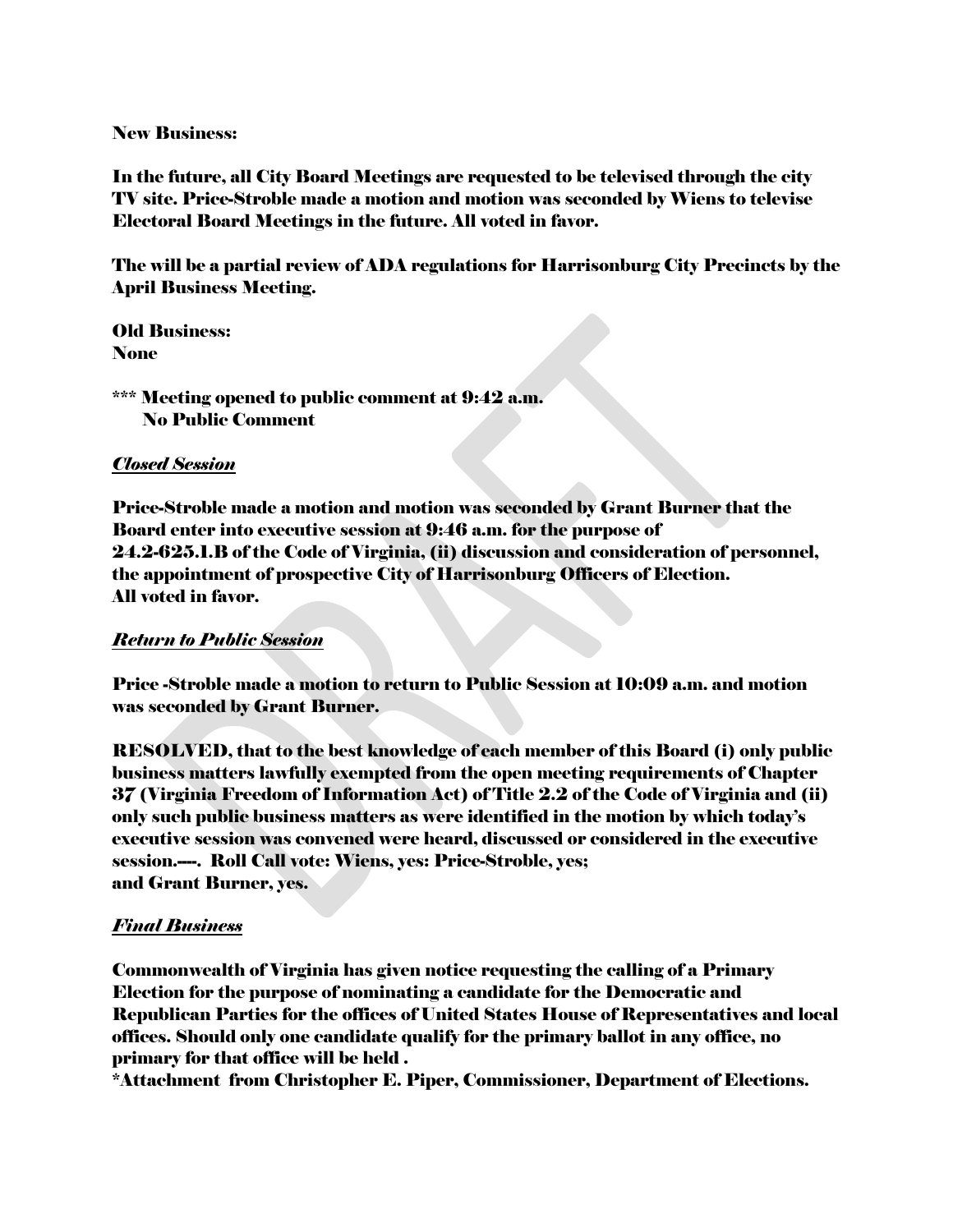New Business:

In the future, all City Board Meetings are requested to be televised through the city TV site. Price-Stroble made a motion and motion was seconded by Wiens to televise Electoral Board Meetings in the future. All voted in favor.

The will be a partial review of ADA regulations for Harrisonburg City Precincts by the April Business Meeting.

Old Business: None

\*\*\* Meeting opened to public comment at 9:42 a.m. No Public Comment

#### *Closed Session*

Price-Stroble made a motion and motion was seconded by Grant Burner that the Board enter into executive session at 9:46 a.m. for the purpose of 24.2-625.1.B of the Code of Virginia, (ii) discussion and consideration of personnel, the appointment of prospective City of Harrisonburg Officers of Election. All voted in favor.

#### *Return to Public Session*

Price -Stroble made a motion to return to Public Session at 10:09 a.m. and motion was seconded by Grant Burner.

RESOLVED, that to the best knowledge of each member of this Board (i) only public business matters lawfully exempted from the open meeting requirements of Chapter 37 (Virginia Freedom of Information Act) of Title 2.2 of the Code of Virginia and (ii) only such public business matters as were identified in the motion by which today's executive session was convened were heard, discussed or considered in the executive session.----. Roll Call vote: Wiens, yes: Price-Stroble, yes; and Grant Burner, yes.

# *Final Business*

Commonwealth of Virginia has given notice requesting the calling of a Primary Election for the purpose of nominating a candidate for the Democratic and Republican Parties for the offices of United States House of Representatives and local offices. Should only one candidate qualify for the primary ballot in any office, no primary for that office will be held .

\*Attachment from Christopher E. Piper, Commissioner, Department of Elections.